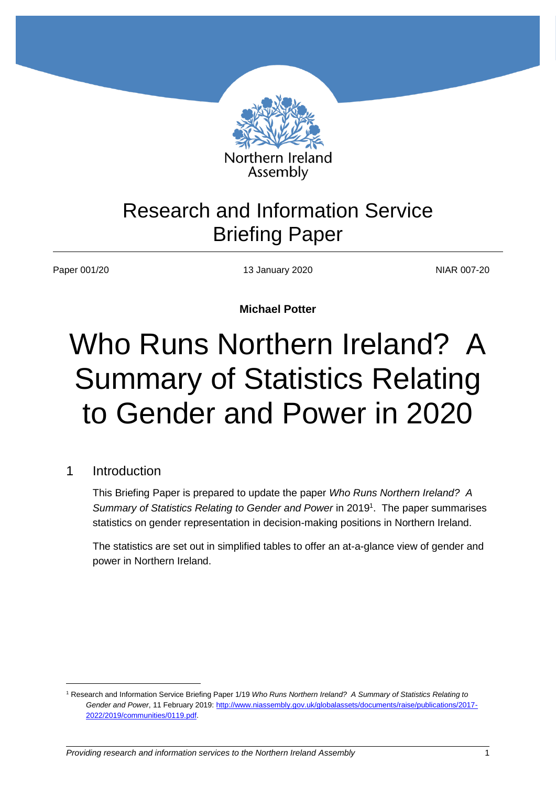

# Research and Information Service Briefing Paper

Paper 001/20 13 January 2020 13 January 2020 NIAR 007-20

**Michael Potter**

# Who Runs Northern Ireland? A Summary of Statistics Relating to Gender and Power in 2020

#### 1 Introduction

 $\overline{a}$ 

This Briefing Paper is prepared to update the paper *Who Runs Northern Ireland? A Summary of Statistics Relating to Gender and Power* in 2019 1 . The paper summarises statistics on gender representation in decision-making positions in Northern Ireland.

The statistics are set out in simplified tables to offer an at-a-glance view of gender and power in Northern Ireland.

<sup>1</sup> Research and Information Service Briefing Paper 1/19 *Who Runs Northern Ireland? A Summary of Statistics Relating to Gender and Power*, 11 February 2019[: http://www.niassembly.gov.uk/globalassets/documents/raise/publications/2017-](http://www.niassembly.gov.uk/globalassets/documents/raise/publications/2017-2022/2019/communities/0119.pdf) [2022/2019/communities/0119.pdf.](http://www.niassembly.gov.uk/globalassets/documents/raise/publications/2017-2022/2019/communities/0119.pdf)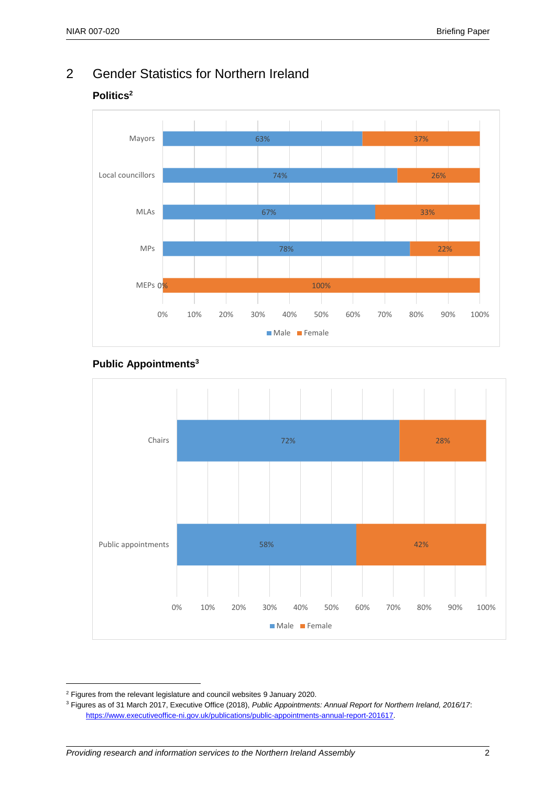## 2 Gender Statistics for Northern Ireland

#### **Politics<sup>2</sup>**



#### **Public Appointments<sup>3</sup>**



<sup>2</sup> Figures from the relevant legislature and council websites 9 January 2020.

<sup>3</sup> Figures as of 31 March 2017, Executive Office (2018), *Public Appointments: Annual Report for Northern Ireland, 2016/17*: [https://www.executiveoffice-ni.gov.uk/publications/public-appointments-annual-report-201617.](https://www.executiveoffice-ni.gov.uk/publications/public-appointments-annual-report-201617)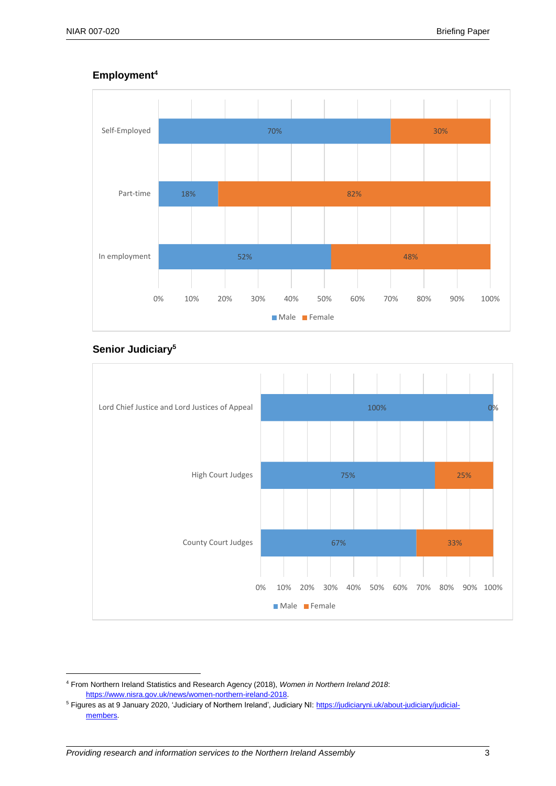#### **Employment<sup>4</sup>**



#### **Senior Judiciary<sup>5</sup>**



<sup>4</sup> From Northern Ireland Statistics and Research Agency (2018), *Women in Northern Ireland 2018*: [https://www.nisra.gov.uk/news/women-northern-ireland-2018.](https://www.nisra.gov.uk/news/women-northern-ireland-2018) 

<sup>5</sup> Figures as at 9 January 2020, 'Judiciary of Northern Ireland', Judiciary NI[: https://judiciaryni.uk/about-judiciary/judicial](https://judiciaryni.uk/about-judiciary/judicial-members)[members.](https://judiciaryni.uk/about-judiciary/judicial-members)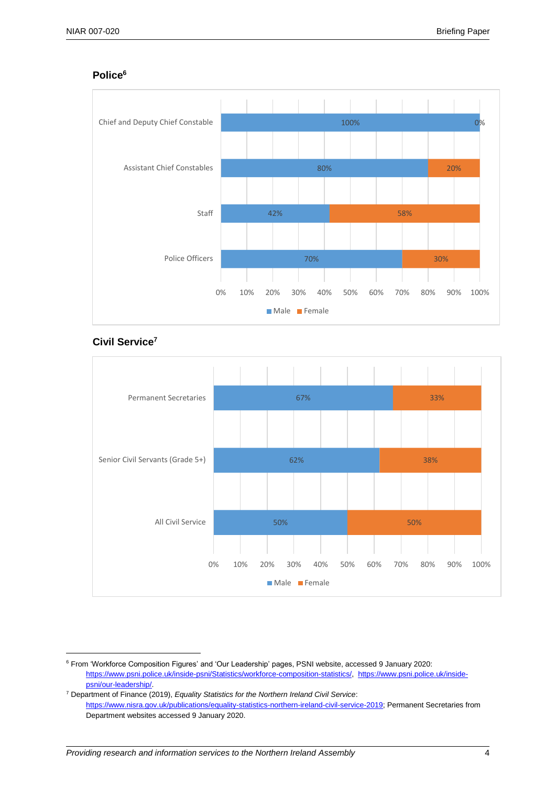#### **Police<sup>6</sup>**



#### **Civil Service<sup>7</sup>**



<sup>6</sup> From 'Workforce Composition Figures' and 'Our Leadership' pages, PSNI website, accessed 9 January 2020: [https://www.psni.police.uk/inside-psni/Statistics/workforce-composition-statistics/,](https://www.psni.police.uk/inside-psni/Statistics/workforce-composition-statistics/) [https://www.psni.police.uk/inside](https://www.psni.police.uk/inside-psni/our-leadership/)[psni/our-leadership/.](https://www.psni.police.uk/inside-psni/our-leadership/) 

<sup>7</sup> Department of Finance (2019), *Equality Statistics for the Northern Ireland Civil Service*: [https://www.nisra.gov.uk/publications/equality-statistics-northern-ireland-civil-service-2019;](https://www.nisra.gov.uk/publications/equality-statistics-northern-ireland-civil-service-2019) Permanent Secretaries from Department websites accessed 9 January 2020.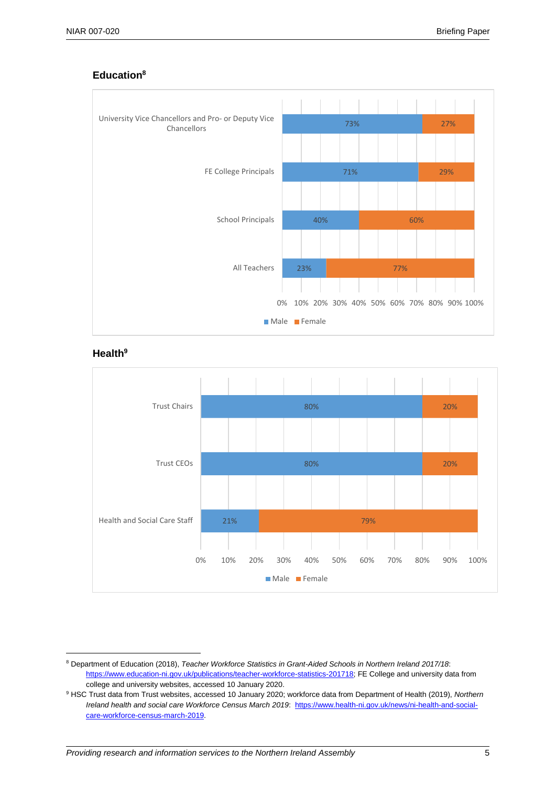

#### **Education<sup>8</sup>**

#### **Health<sup>9</sup>**



<sup>&</sup>lt;sup>8</sup> Department of Education (2018), *Teacher Workforce Statistics in Grant-Aided Schools in Northern Ireland 2017/18*: [https://www.education-ni.gov.uk/publications/teacher-workforce-statistics-201718;](https://www.education-ni.gov.uk/publications/teacher-workforce-statistics-201718) FE College and university data from college and university websites, accessed 10 January 2020.

<sup>9</sup> HSC Trust data from Trust websites, accessed 10 January 2020; workforce data from Department of Health (2019), *Northern Ireland health and social care Workforce Census March 2019*: [https://www.health-ni.gov.uk/news/ni-health-and-social](https://www.health-ni.gov.uk/news/ni-health-and-social-care-workforce-census-march-2019)[care-workforce-census-march-2019.](https://www.health-ni.gov.uk/news/ni-health-and-social-care-workforce-census-march-2019)